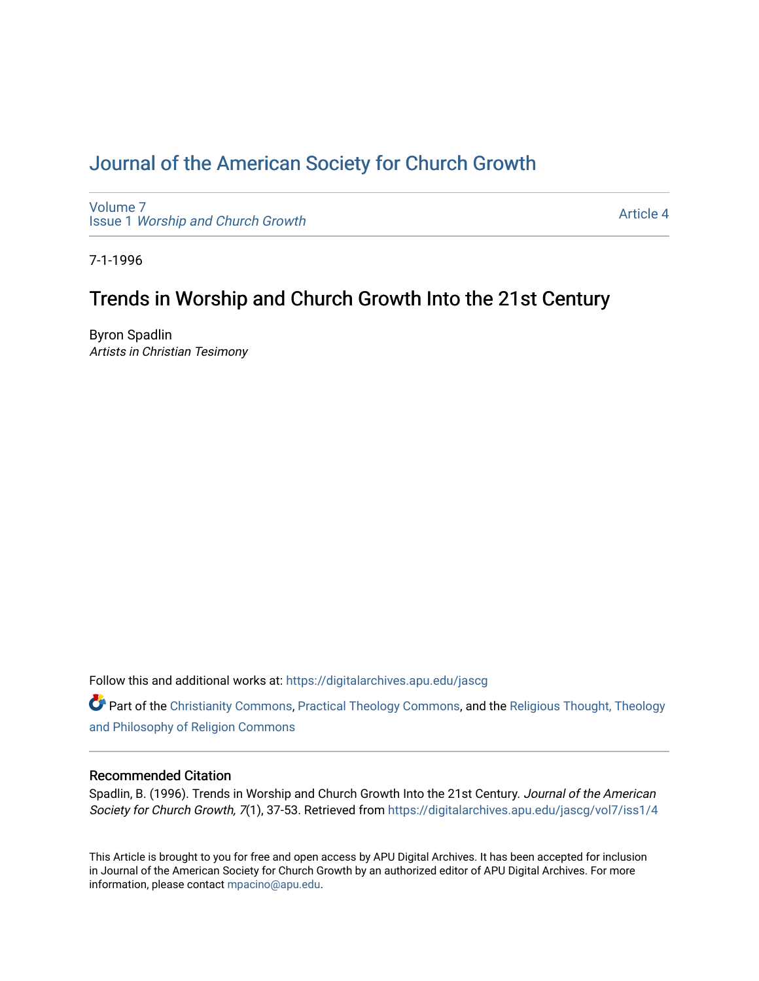# [Journal of the American Society for Church Growth](https://digitalarchives.apu.edu/jascg)

[Volume 7](https://digitalarchives.apu.edu/jascg/vol7) Issue 1 [Worship and Church Growth](https://digitalarchives.apu.edu/jascg/vol7/iss1)

[Article 4](https://digitalarchives.apu.edu/jascg/vol7/iss1/4) 

7-1-1996

## Trends in Worship and Church Growth Into the 21st Century

Byron Spadlin Artists in Christian Tesimony

Follow this and additional works at: [https://digitalarchives.apu.edu/jascg](https://digitalarchives.apu.edu/jascg?utm_source=digitalarchives.apu.edu%2Fjascg%2Fvol7%2Fiss1%2F4&utm_medium=PDF&utm_campaign=PDFCoverPages) 

Part of the [Christianity Commons,](http://network.bepress.com/hgg/discipline/1181?utm_source=digitalarchives.apu.edu%2Fjascg%2Fvol7%2Fiss1%2F4&utm_medium=PDF&utm_campaign=PDFCoverPages) [Practical Theology Commons](http://network.bepress.com/hgg/discipline/1186?utm_source=digitalarchives.apu.edu%2Fjascg%2Fvol7%2Fiss1%2F4&utm_medium=PDF&utm_campaign=PDFCoverPages), and the [Religious Thought, Theology](http://network.bepress.com/hgg/discipline/544?utm_source=digitalarchives.apu.edu%2Fjascg%2Fvol7%2Fiss1%2F4&utm_medium=PDF&utm_campaign=PDFCoverPages)  [and Philosophy of Religion Commons](http://network.bepress.com/hgg/discipline/544?utm_source=digitalarchives.apu.edu%2Fjascg%2Fvol7%2Fiss1%2F4&utm_medium=PDF&utm_campaign=PDFCoverPages)

## Recommended Citation

Spadlin, B. (1996). Trends in Worship and Church Growth Into the 21st Century. Journal of the American Society for Church Growth, 7(1), 37-53. Retrieved from [https://digitalarchives.apu.edu/jascg/vol7/iss1/4](https://digitalarchives.apu.edu/jascg/vol7/iss1/4?utm_source=digitalarchives.apu.edu%2Fjascg%2Fvol7%2Fiss1%2F4&utm_medium=PDF&utm_campaign=PDFCoverPages) 

This Article is brought to you for free and open access by APU Digital Archives. It has been accepted for inclusion in Journal of the American Society for Church Growth by an authorized editor of APU Digital Archives. For more information, please contact [mpacino@apu.edu](mailto:mpacino@apu.edu).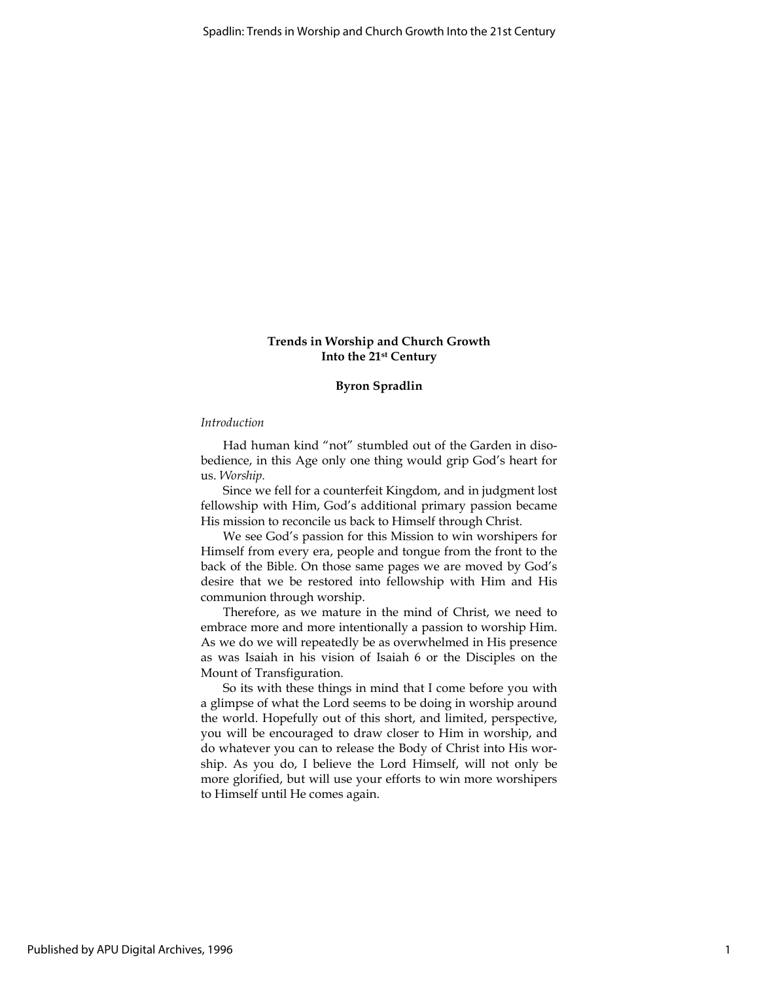## Trends in Worship and Church Growth Into the 21st Century

## Byron Spradlin

## Introduction

Had human kind "not" stumbled out of the Garden in disobedience, in this Age only one thing would grip God's heart for us. Worship.

Since we fell for a counterfeit Kingdom, and in judgment lost fellowship with Him, God's additional primary passion became His mission to reconcile us back to Himself through Christ.

We see God's passion for this Mission to win worshipers for Himself from every era, people and tongue from the front to the back of the Bible. On those same pages we are moved by God's desire that we be restored into fellowship with Him and His communion through worship.

Therefore, as we mature in the mind of Christ, we need to embrace more and more intentionally a passion to worship Him. As we do we will repeatedly be as overwhelmed in His presence as was Isaiah in his vision of Isaiah 6 or the Disciples on the Mount of Transfiguration.

So its with these things in mind that I come before you with a glimpse of what the Lord seems to be doing in worship around the world. Hopefully out of this short, and limited, perspective, you will be encouraged to draw closer to Him in worship, and do whatever you can to release the Body of Christ into His worship. As you do, I believe the Lord Himself, will not only be more glorified, but will use your efforts to win more worshipers to Himself until He comes again.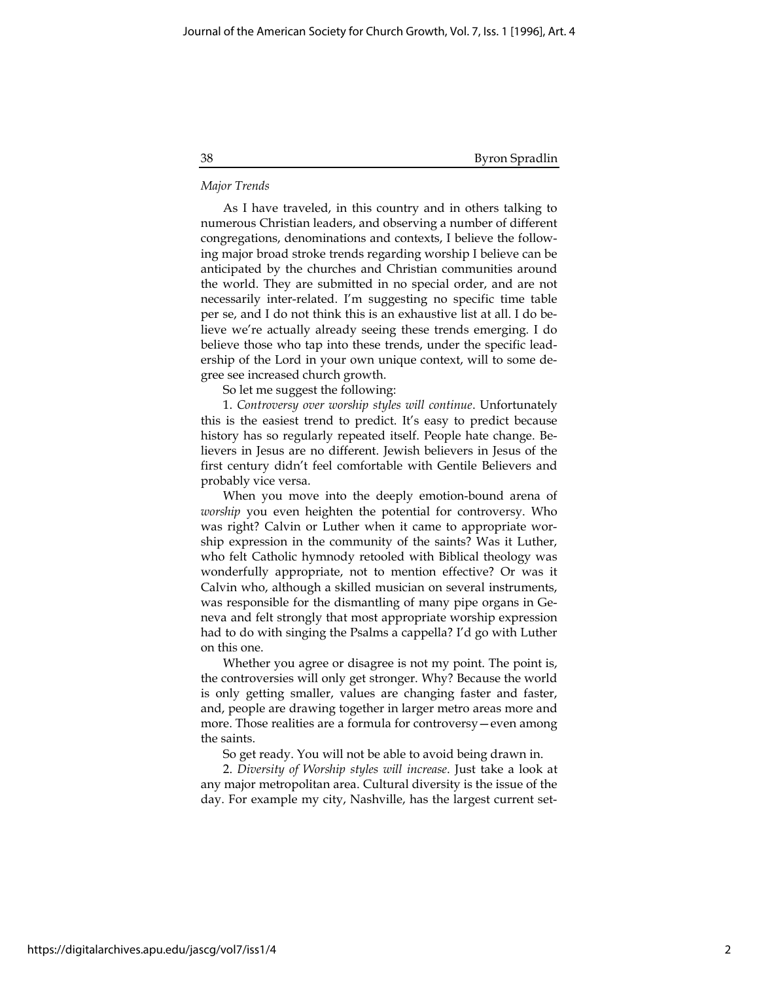### Major Trends

As I have traveled, in this country and in others talking to numerous Christian leaders, and observing a number of different congregations, denominations and contexts, I believe the following major broad stroke trends regarding worship I believe can be anticipated by the churches and Christian communities around the world. They are submitted in no special order, and are not necessarily inter-related. I'm suggesting no specific time table per se, and I do not think this is an exhaustive list at all. I do believe we're actually already seeing these trends emerging. I do believe those who tap into these trends, under the specific leadership of the Lord in your own unique context, will to some degree see increased church growth.

So let me suggest the following:

1. Controversy over worship styles will continue. Unfortunately this is the easiest trend to predict. It's easy to predict because history has so regularly repeated itself. People hate change. Believers in Jesus are no different. Jewish believers in Jesus of the first century didn't feel comfortable with Gentile Believers and probably vice versa.

When you move into the deeply emotion-bound arena of worship you even heighten the potential for controversy. Who was right? Calvin or Luther when it came to appropriate worship expression in the community of the saints? Was it Luther, who felt Catholic hymnody retooled with Biblical theology was wonderfully appropriate, not to mention effective? Or was it Calvin who, although a skilled musician on several instruments, was responsible for the dismantling of many pipe organs in Geneva and felt strongly that most appropriate worship expression had to do with singing the Psalms a cappella? I'd go with Luther on this one.

Whether you agree or disagree is not my point. The point is, the controversies will only get stronger. Why? Because the world is only getting smaller, values are changing faster and faster, and, people are drawing together in larger metro areas more and more. Those realities are a formula for controversy—even among the saints.

So get ready. You will not be able to avoid being drawn in.

2. Diversity of Worship styles will increase. Just take a look at any major metropolitan area. Cultural diversity is the issue of the day. For example my city, Nashville, has the largest current set-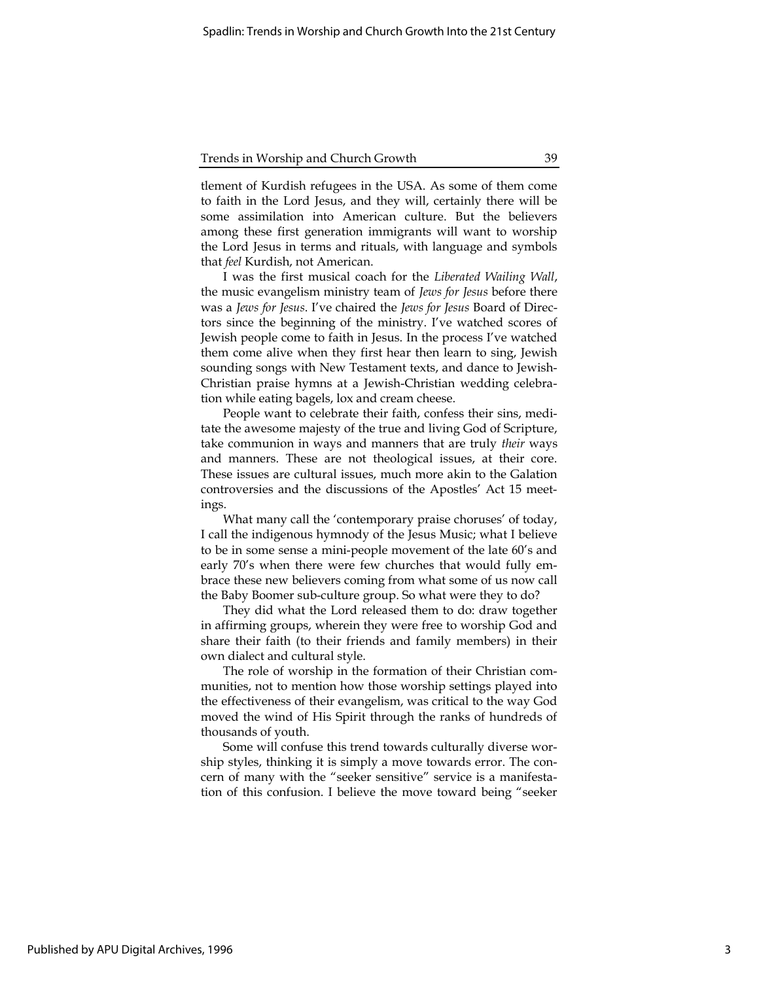tlement of Kurdish refugees in the USA. As some of them come to faith in the Lord Jesus, and they will, certainly there will be some assimilation into American culture. But the believers among these first generation immigrants will want to worship the Lord Jesus in terms and rituals, with language and symbols that feel Kurdish, not American.

I was the first musical coach for the Liberated Wailing Wall, the music evangelism ministry team of Jews for Jesus before there was a Jews for Jesus. I've chaired the Jews for Jesus Board of Directors since the beginning of the ministry. I've watched scores of Jewish people come to faith in Jesus. In the process I've watched them come alive when they first hear then learn to sing, Jewish sounding songs with New Testament texts, and dance to Jewish-Christian praise hymns at a Jewish-Christian wedding celebration while eating bagels, lox and cream cheese.

People want to celebrate their faith, confess their sins, meditate the awesome majesty of the true and living God of Scripture, take communion in ways and manners that are truly their ways and manners. These are not theological issues, at their core. These issues are cultural issues, much more akin to the Galation controversies and the discussions of the Apostles' Act 15 meetings.

What many call the 'contemporary praise choruses' of today, I call the indigenous hymnody of the Jesus Music; what I believe to be in some sense a mini-people movement of the late 60's and early 70's when there were few churches that would fully embrace these new believers coming from what some of us now call the Baby Boomer sub-culture group. So what were they to do?

They did what the Lord released them to do: draw together in affirming groups, wherein they were free to worship God and share their faith (to their friends and family members) in their own dialect and cultural style.

The role of worship in the formation of their Christian communities, not to mention how those worship settings played into the effectiveness of their evangelism, was critical to the way God moved the wind of His Spirit through the ranks of hundreds of thousands of youth.

Some will confuse this trend towards culturally diverse worship styles, thinking it is simply a move towards error. The concern of many with the "seeker sensitive" service is a manifestation of this confusion. I believe the move toward being "seeker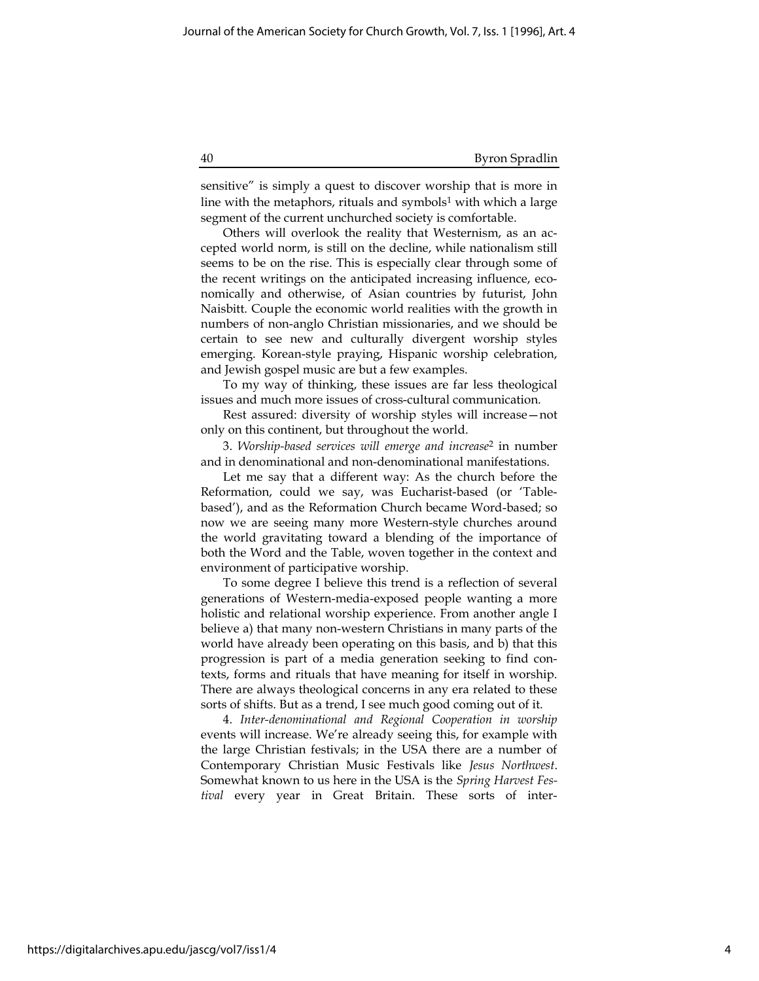sensitive" is simply a quest to discover worship that is more in line with the metaphors, rituals and symbols<sup>1</sup> with which a large segment of the current unchurched society is comfortable.

Others will overlook the reality that Westernism, as an accepted world norm, is still on the decline, while nationalism still seems to be on the rise. This is especially clear through some of the recent writings on the anticipated increasing influence, economically and otherwise, of Asian countries by futurist, John Naisbitt. Couple the economic world realities with the growth in numbers of non-anglo Christian missionaries, and we should be certain to see new and culturally divergent worship styles emerging. Korean-style praying, Hispanic worship celebration, and Jewish gospel music are but a few examples.

To my way of thinking, these issues are far less theological issues and much more issues of cross-cultural communication.

Rest assured: diversity of worship styles will increase—not only on this continent, but throughout the world.

3. Worship-based services will emerge and increase<sup>2</sup> in number and in denominational and non-denominational manifestations.

Let me say that a different way: As the church before the Reformation, could we say, was Eucharist-based (or 'Tablebased'), and as the Reformation Church became Word-based; so now we are seeing many more Western-style churches around the world gravitating toward a blending of the importance of both the Word and the Table, woven together in the context and environment of participative worship.

To some degree I believe this trend is a reflection of several generations of Western-media-exposed people wanting a more holistic and relational worship experience. From another angle I believe a) that many non-western Christians in many parts of the world have already been operating on this basis, and b) that this progression is part of a media generation seeking to find contexts, forms and rituals that have meaning for itself in worship. There are always theological concerns in any era related to these sorts of shifts. But as a trend, I see much good coming out of it.

4. Inter-denominational and Regional Cooperation in worship events will increase. We're already seeing this, for example with the large Christian festivals; in the USA there are a number of Contemporary Christian Music Festivals like Jesus Northwest. Somewhat known to us here in the USA is the Spring Harvest Festival every year in Great Britain. These sorts of inter-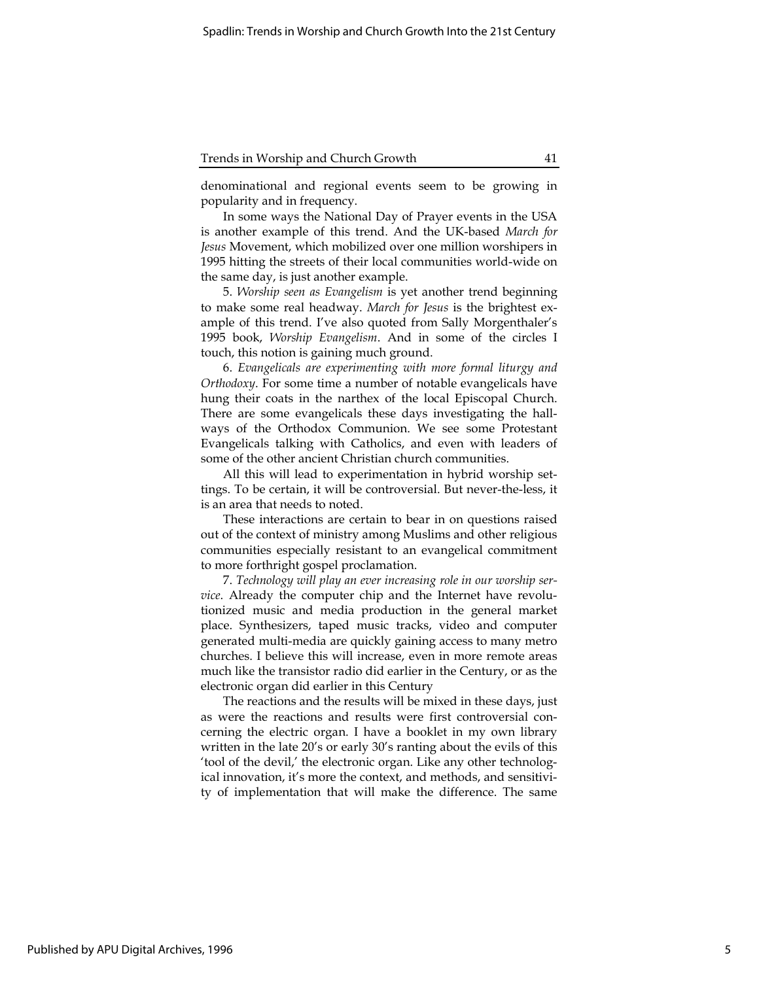denominational and regional events seem to be growing in popularity and in frequency.

In some ways the National Day of Prayer events in the USA is another example of this trend. And the UK-based March for Jesus Movement, which mobilized over one million worshipers in 1995 hitting the streets of their local communities world-wide on the same day, is just another example.

5. Worship seen as Evangelism is yet another trend beginning to make some real headway. March for Jesus is the brightest example of this trend. I've also quoted from Sally Morgenthaler's 1995 book, Worship Evangelism. And in some of the circles I touch, this notion is gaining much ground.

6. Evangelicals are experimenting with more formal liturgy and Orthodoxy. For some time a number of notable evangelicals have hung their coats in the narthex of the local Episcopal Church. There are some evangelicals these days investigating the hallways of the Orthodox Communion. We see some Protestant Evangelicals talking with Catholics, and even with leaders of some of the other ancient Christian church communities.

All this will lead to experimentation in hybrid worship settings. To be certain, it will be controversial. But never-the-less, it is an area that needs to noted.

These interactions are certain to bear in on questions raised out of the context of ministry among Muslims and other religious communities especially resistant to an evangelical commitment to more forthright gospel proclamation.

7. Technology will play an ever increasing role in our worship service. Already the computer chip and the Internet have revolutionized music and media production in the general market place. Synthesizers, taped music tracks, video and computer generated multi-media are quickly gaining access to many metro churches. I believe this will increase, even in more remote areas much like the transistor radio did earlier in the Century, or as the electronic organ did earlier in this Century

The reactions and the results will be mixed in these days, just as were the reactions and results were first controversial concerning the electric organ. I have a booklet in my own library written in the late 20's or early 30's ranting about the evils of this 'tool of the devil,' the electronic organ. Like any other technological innovation, it's more the context, and methods, and sensitivity of implementation that will make the difference. The same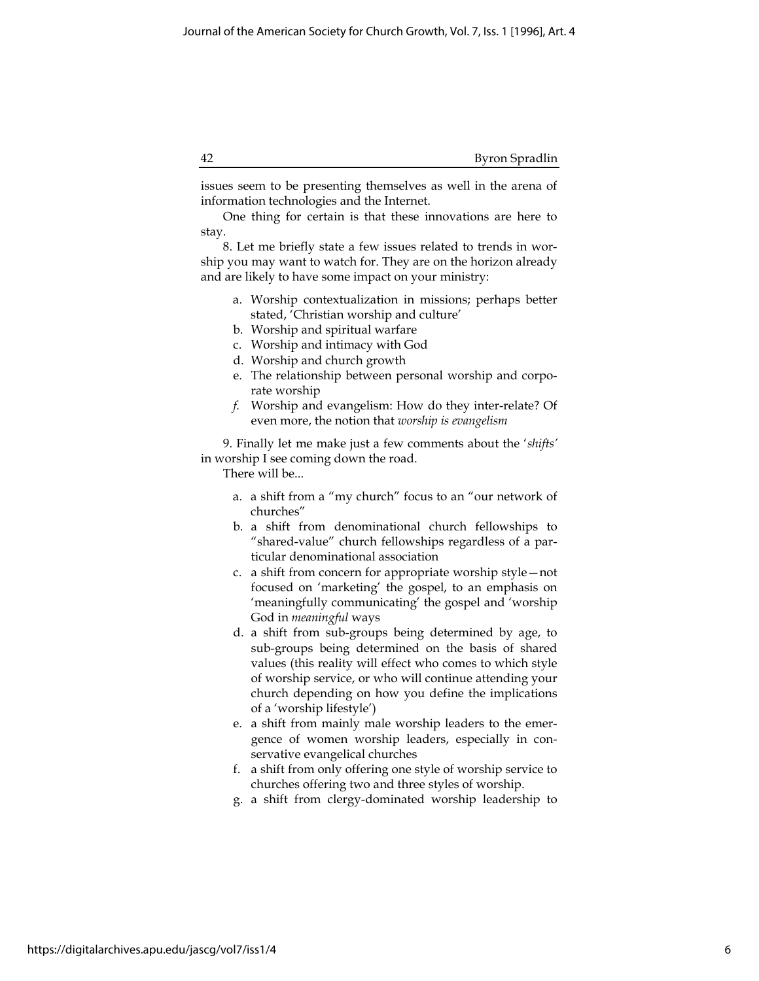issues seem to be presenting themselves as well in the arena of information technologies and the Internet.

One thing for certain is that these innovations are here to stay.

8. Let me briefly state a few issues related to trends in worship you may want to watch for. They are on the horizon already and are likely to have some impact on your ministry:

- a. Worship contextualization in missions; perhaps better stated, 'Christian worship and culture'
- b. Worship and spiritual warfare
- c. Worship and intimacy with God
- d. Worship and church growth
- e. The relationship between personal worship and corporate worship
- f. Worship and evangelism: How do they inter-relate? Of even more, the notion that worship is evangelism

9. Finally let me make just a few comments about the 'shifts' in worship I see coming down the road.

There will be...

- a. a shift from a "my church" focus to an "our network of churches"
- b. a shift from denominational church fellowships to "shared-value" church fellowships regardless of a particular denominational association
- c. a shift from concern for appropriate worship style—not focused on 'marketing' the gospel, to an emphasis on 'meaningfully communicating' the gospel and 'worship God in meaningful ways
- d. a shift from sub-groups being determined by age, to sub-groups being determined on the basis of shared values (this reality will effect who comes to which style of worship service, or who will continue attending your church depending on how you define the implications of a 'worship lifestyle')
- e. a shift from mainly male worship leaders to the emergence of women worship leaders, especially in conservative evangelical churches
- f. a shift from only offering one style of worship service to churches offering two and three styles of worship.
- g. a shift from clergy-dominated worship leadership to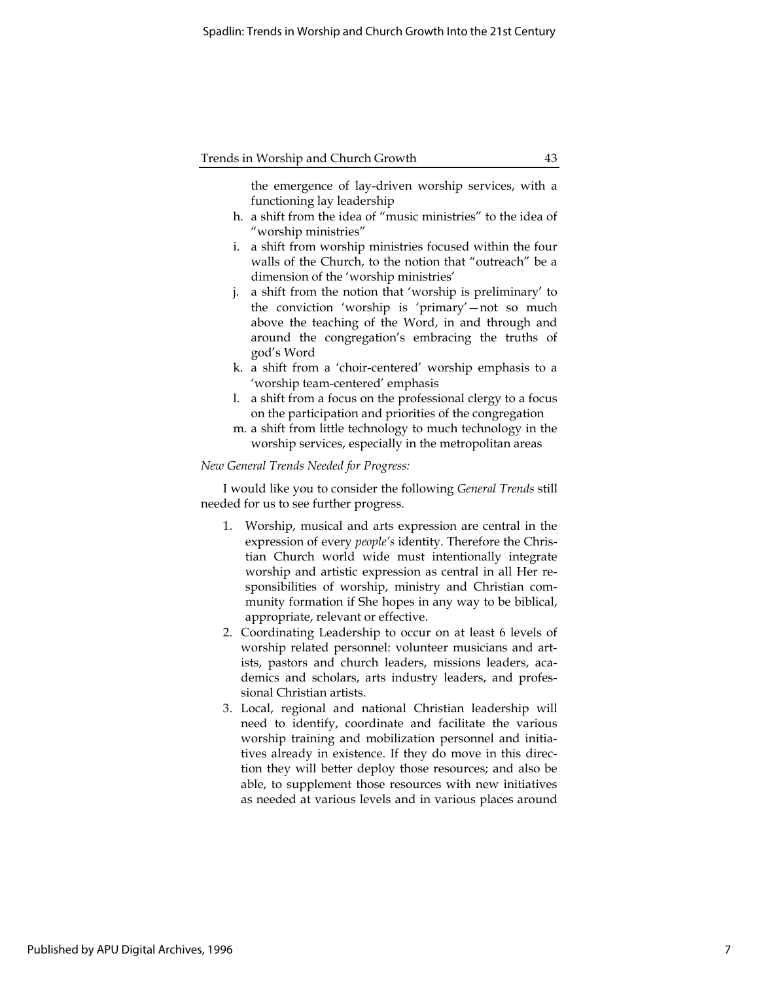the emergence of lay-driven worship services, with a functioning lay leadership

- h. a shift from the idea of "music ministries" to the idea of "worship ministries"
- i. a shift from worship ministries focused within the four walls of the Church, to the notion that "outreach" be a dimension of the 'worship ministries'
- j. a shift from the notion that 'worship is preliminary' to the conviction 'worship is 'primary'—not so much above the teaching of the Word, in and through and around the congregation's embracing the truths of god's Word
- k. a shift from a 'choir-centered' worship emphasis to a 'worship team-centered' emphasis
- l. a shift from a focus on the professional clergy to a focus on the participation and priorities of the congregation
- m. a shift from little technology to much technology in the worship services, especially in the metropolitan areas

#### New General Trends Needed for Progress:

I would like you to consider the following General Trends still needed for us to see further progress.

- 1. Worship, musical and arts expression are central in the expression of every *people's* identity. Therefore the Christian Church world wide must intentionally integrate worship and artistic expression as central in all Her responsibilities of worship, ministry and Christian community formation if She hopes in any way to be biblical, appropriate, relevant or effective.
- 2. Coordinating Leadership to occur on at least 6 levels of worship related personnel: volunteer musicians and artists, pastors and church leaders, missions leaders, academics and scholars, arts industry leaders, and professional Christian artists.
- 3. Local, regional and national Christian leadership will need to identify, coordinate and facilitate the various worship training and mobilization personnel and initiatives already in existence. If they do move in this direction they will better deploy those resources; and also be able, to supplement those resources with new initiatives as needed at various levels and in various places around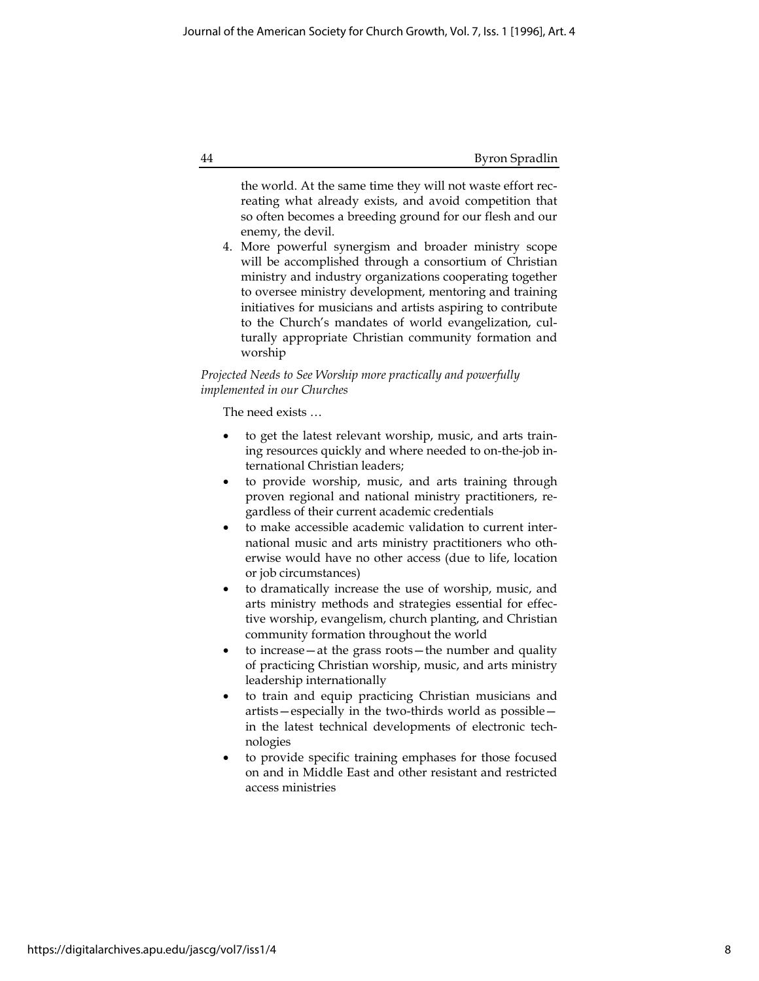the world. At the same time they will not waste effort recreating what already exists, and avoid competition that so often becomes a breeding ground for our flesh and our enemy, the devil.

4. More powerful synergism and broader ministry scope will be accomplished through a consortium of Christian ministry and industry organizations cooperating together to oversee ministry development, mentoring and training initiatives for musicians and artists aspiring to contribute to the Church's mandates of world evangelization, culturally appropriate Christian community formation and worship

## Projected Needs to See Worship more practically and powerfully implemented in our Churches

The need exists …

- to get the latest relevant worship, music, and arts training resources quickly and where needed to on-the-job international Christian leaders;
- to provide worship, music, and arts training through proven regional and national ministry practitioners, regardless of their current academic credentials
- to make accessible academic validation to current international music and arts ministry practitioners who otherwise would have no other access (due to life, location or job circumstances)
- to dramatically increase the use of worship, music, and arts ministry methods and strategies essential for effective worship, evangelism, church planting, and Christian community formation throughout the world
- to increase—at the grass roots—the number and quality of practicing Christian worship, music, and arts ministry leadership internationally
- to train and equip practicing Christian musicians and artists—especially in the two-thirds world as possible in the latest technical developments of electronic technologies
- to provide specific training emphases for those focused on and in Middle East and other resistant and restricted access ministries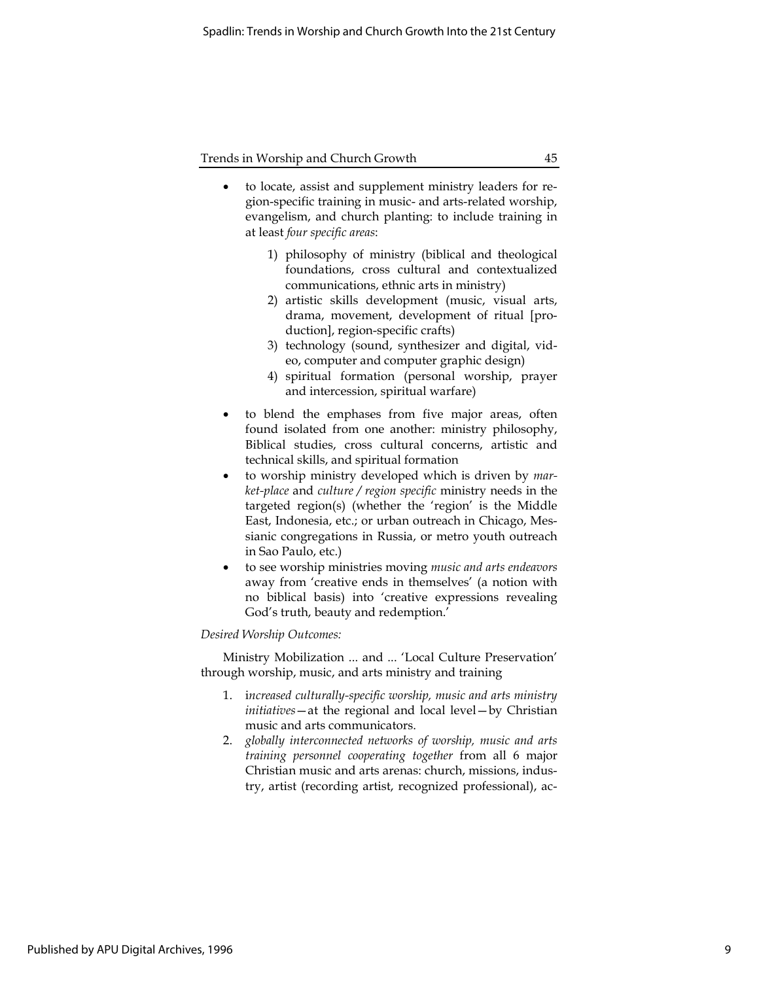- to locate, assist and supplement ministry leaders for region-specific training in music- and arts-related worship, evangelism, and church planting: to include training in at least four specific areas:
	- 1) philosophy of ministry (biblical and theological foundations, cross cultural and contextualized communications, ethnic arts in ministry)
	- 2) artistic skills development (music, visual arts, drama, movement, development of ritual [production], region-specific crafts)
	- 3) technology (sound, synthesizer and digital, video, computer and computer graphic design)
	- 4) spiritual formation (personal worship, prayer and intercession, spiritual warfare)
- to blend the emphases from five major areas, often found isolated from one another: ministry philosophy, Biblical studies, cross cultural concerns, artistic and technical skills, and spiritual formation
- to worship ministry developed which is driven by market-place and culture / region specific ministry needs in the targeted region(s) (whether the 'region' is the Middle East, Indonesia, etc.; or urban outreach in Chicago, Messianic congregations in Russia, or metro youth outreach in Sao Paulo, etc.)
- to see worship ministries moving music and arts endeavors away from 'creative ends in themselves' (a notion with no biblical basis) into 'creative expressions revealing God's truth, beauty and redemption.'

### Desired Worship Outcomes:

Ministry Mobilization ... and ... 'Local Culture Preservation' through worship, music, and arts ministry and training

- 1. increased culturally-specific worship, music and arts ministry initiatives—at the regional and local level—by Christian music and arts communicators.
- 2. globally interconnected networks of worship, music and arts training personnel cooperating together from all 6 major Christian music and arts arenas: church, missions, industry, artist (recording artist, recognized professional), ac-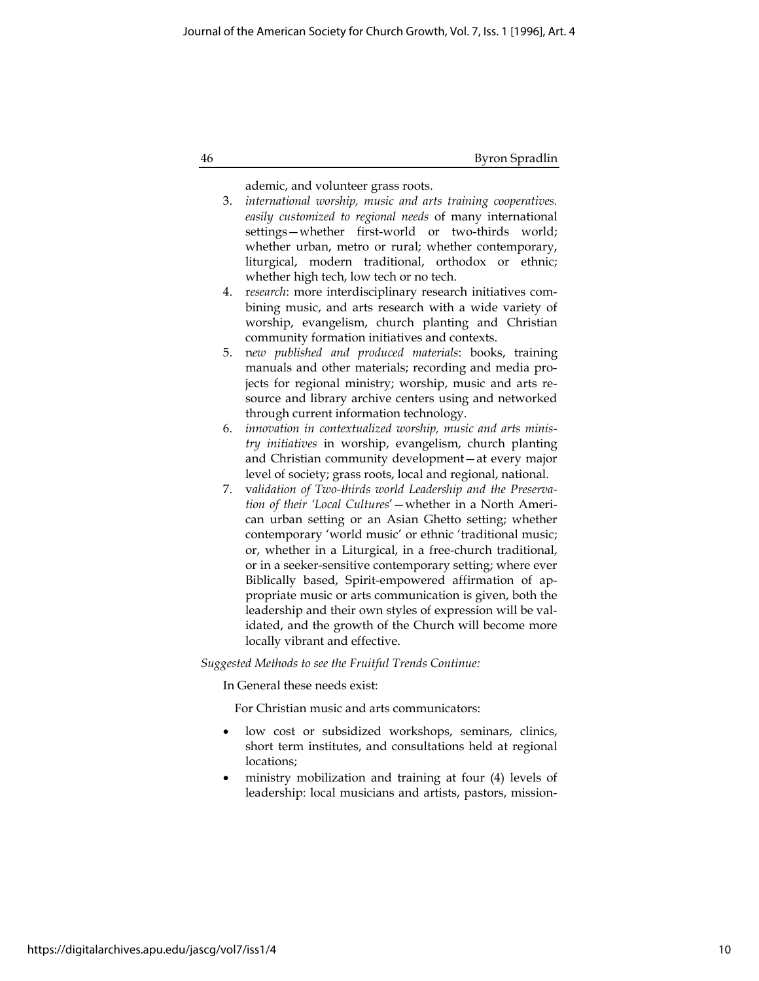ademic, and volunteer grass roots.

- 3. international worship, music and arts training cooperatives. easily customized to regional needs of many international settings—whether first-world or two-thirds world; whether urban, metro or rural; whether contemporary, liturgical, modern traditional, orthodox or ethnic; whether high tech, low tech or no tech.
- 4. research: more interdisciplinary research initiatives combining music, and arts research with a wide variety of worship, evangelism, church planting and Christian community formation initiatives and contexts.
- 5. new published and produced materials: books, training manuals and other materials; recording and media projects for regional ministry; worship, music and arts resource and library archive centers using and networked through current information technology.
- 6. innovation in contextualized worship, music and arts ministry initiatives in worship, evangelism, church planting and Christian community development—at every major level of society; grass roots, local and regional, national.
- 7. validation of Two-thirds world Leadership and the Preservation of their 'Local Cultures'—whether in a North American urban setting or an Asian Ghetto setting; whether contemporary 'world music' or ethnic 'traditional music; or, whether in a Liturgical, in a free-church traditional, or in a seeker-sensitive contemporary setting; where ever Biblically based, Spirit-empowered affirmation of appropriate music or arts communication is given, both the leadership and their own styles of expression will be validated, and the growth of the Church will become more locally vibrant and effective.

Suggested Methods to see the Fruitful Trends Continue:

In General these needs exist:

For Christian music and arts communicators:

- low cost or subsidized workshops, seminars, clinics, short term institutes, and consultations held at regional locations;
- ministry mobilization and training at four (4) levels of leadership: local musicians and artists, pastors, mission-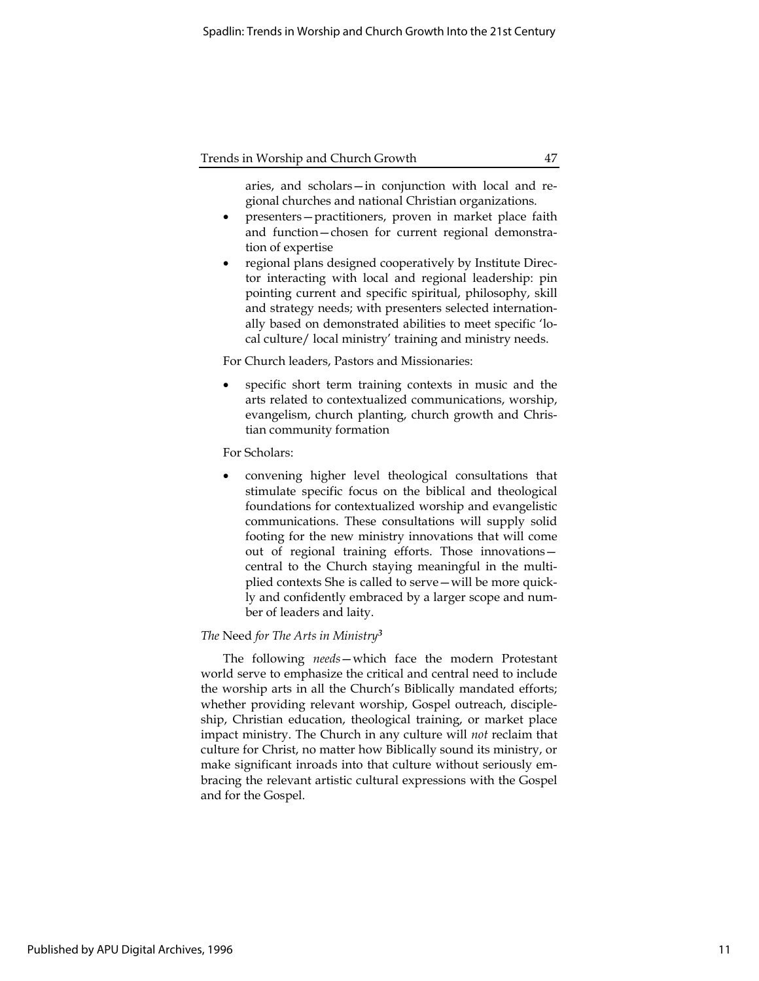aries, and scholars—in conjunction with local and regional churches and national Christian organizations.

- presenters—practitioners, proven in market place faith and function—chosen for current regional demonstration of expertise
- regional plans designed cooperatively by Institute Director interacting with local and regional leadership: pin pointing current and specific spiritual, philosophy, skill and strategy needs; with presenters selected internationally based on demonstrated abilities to meet specific 'local culture/ local ministry' training and ministry needs.

For Church leaders, Pastors and Missionaries:

 specific short term training contexts in music and the arts related to contextualized communications, worship, evangelism, church planting, church growth and Christian community formation

For Scholars:

 convening higher level theological consultations that stimulate specific focus on the biblical and theological foundations for contextualized worship and evangelistic communications. These consultations will supply solid footing for the new ministry innovations that will come out of regional training efforts. Those innovations central to the Church staying meaningful in the multiplied contexts She is called to serve—will be more quickly and confidently embraced by a larger scope and number of leaders and laity.

## The Need for The Arts in Ministry<sup>3</sup>

The following needs—which face the modern Protestant world serve to emphasize the critical and central need to include the worship arts in all the Church's Biblically mandated efforts; whether providing relevant worship, Gospel outreach, discipleship, Christian education, theological training, or market place impact ministry. The Church in any culture will not reclaim that culture for Christ, no matter how Biblically sound its ministry, or make significant inroads into that culture without seriously embracing the relevant artistic cultural expressions with the Gospel and for the Gospel.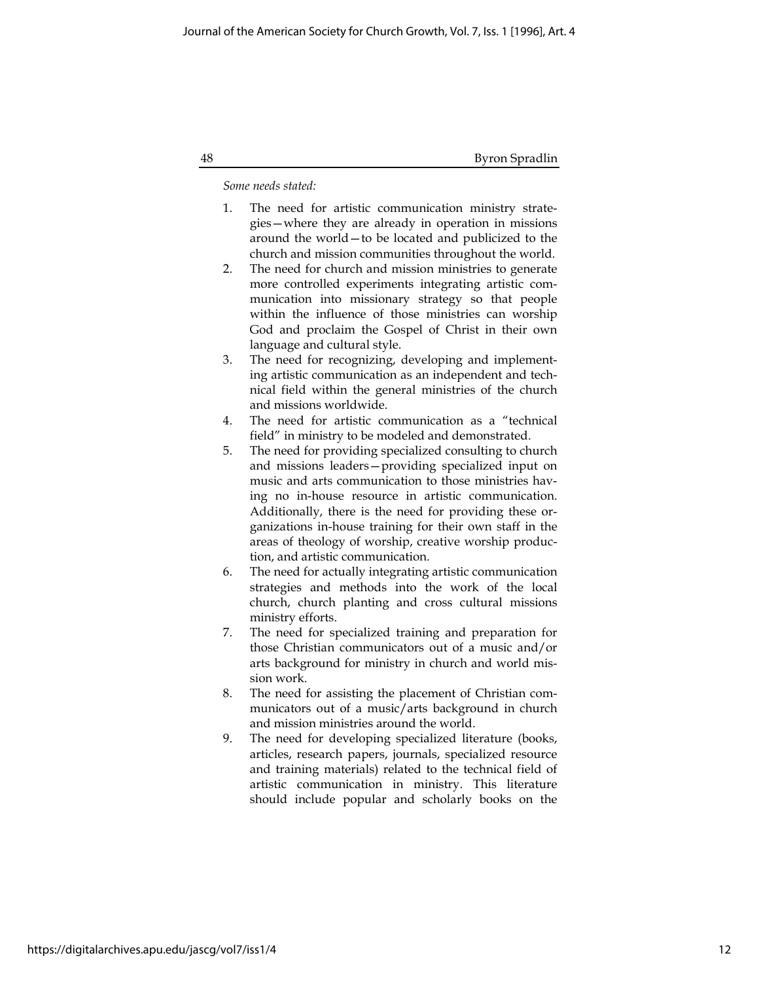Some needs stated:

- 1. The need for artistic communication ministry strategies—where they are already in operation in missions around the world—to be located and publicized to the church and mission communities throughout the world.
- 2. The need for church and mission ministries to generate more controlled experiments integrating artistic communication into missionary strategy so that people within the influence of those ministries can worship God and proclaim the Gospel of Christ in their own language and cultural style.
- 3. The need for recognizing, developing and implementing artistic communication as an independent and technical field within the general ministries of the church and missions worldwide.
- 4. The need for artistic communication as a "technical field" in ministry to be modeled and demonstrated.
- 5. The need for providing specialized consulting to church and missions leaders—providing specialized input on music and arts communication to those ministries having no in-house resource in artistic communication. Additionally, there is the need for providing these organizations in-house training for their own staff in the areas of theology of worship, creative worship production, and artistic communication.
- 6. The need for actually integrating artistic communication strategies and methods into the work of the local church, church planting and cross cultural missions ministry efforts.
- 7. The need for specialized training and preparation for those Christian communicators out of a music and/or arts background for ministry in church and world mission work.
- 8. The need for assisting the placement of Christian communicators out of a music/arts background in church and mission ministries around the world.
- 9. The need for developing specialized literature (books, articles, research papers, journals, specialized resource and training materials) related to the technical field of artistic communication in ministry. This literature should include popular and scholarly books on the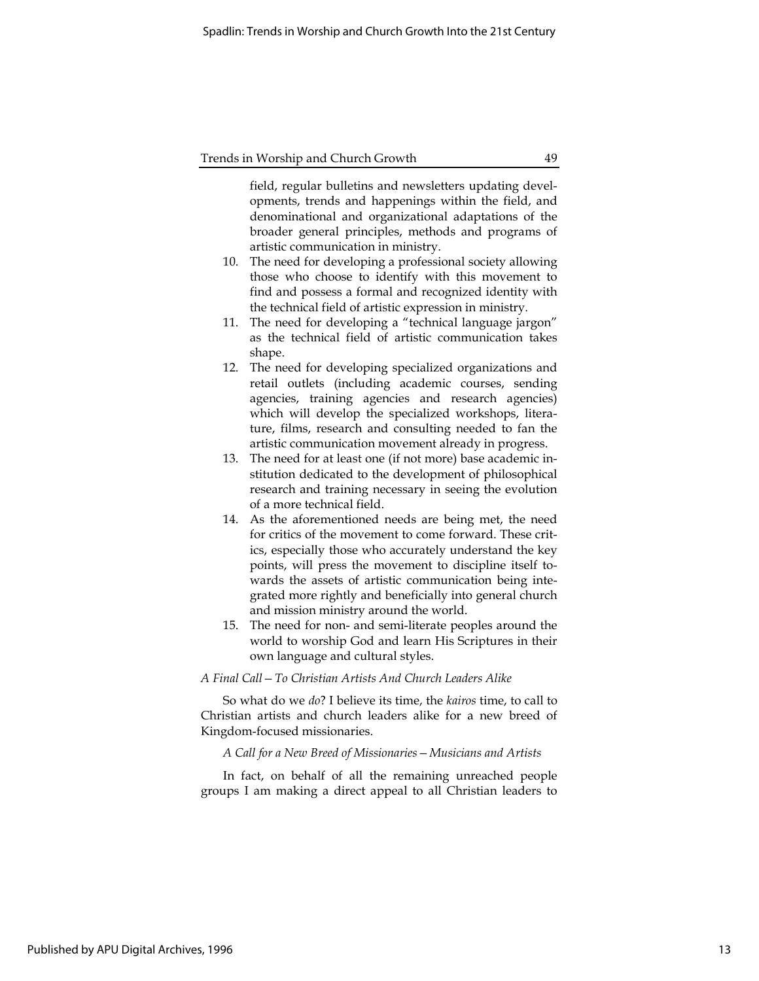field, regular bulletins and newsletters updating developments, trends and happenings within the field, and denominational and organizational adaptations of the broader general principles, methods and programs of artistic communication in ministry.

- 10. The need for developing a professional society allowing those who choose to identify with this movement to find and possess a formal and recognized identity with the technical field of artistic expression in ministry.
- 11. The need for developing a "technical language jargon" as the technical field of artistic communication takes shape.
- 12. The need for developing specialized organizations and retail outlets (including academic courses, sending agencies, training agencies and research agencies) which will develop the specialized workshops, literature, films, research and consulting needed to fan the artistic communication movement already in progress.
- 13. The need for at least one (if not more) base academic institution dedicated to the development of philosophical research and training necessary in seeing the evolution of a more technical field.
- 14. As the aforementioned needs are being met, the need for critics of the movement to come forward. These critics, especially those who accurately understand the key points, will press the movement to discipline itself towards the assets of artistic communication being integrated more rightly and beneficially into general church and mission ministry around the world.
- 15. The need for non- and semi-literate peoples around the world to worship God and learn His Scriptures in their own language and cultural styles.

#### A Final Call—To Christian Artists And Church Leaders Alike

So what do we do? I believe its time, the kairos time, to call to Christian artists and church leaders alike for a new breed of Kingdom-focused missionaries.

A Call for a New Breed of Missionaries—Musicians and Artists

In fact, on behalf of all the remaining unreached people groups I am making a direct appeal to all Christian leaders to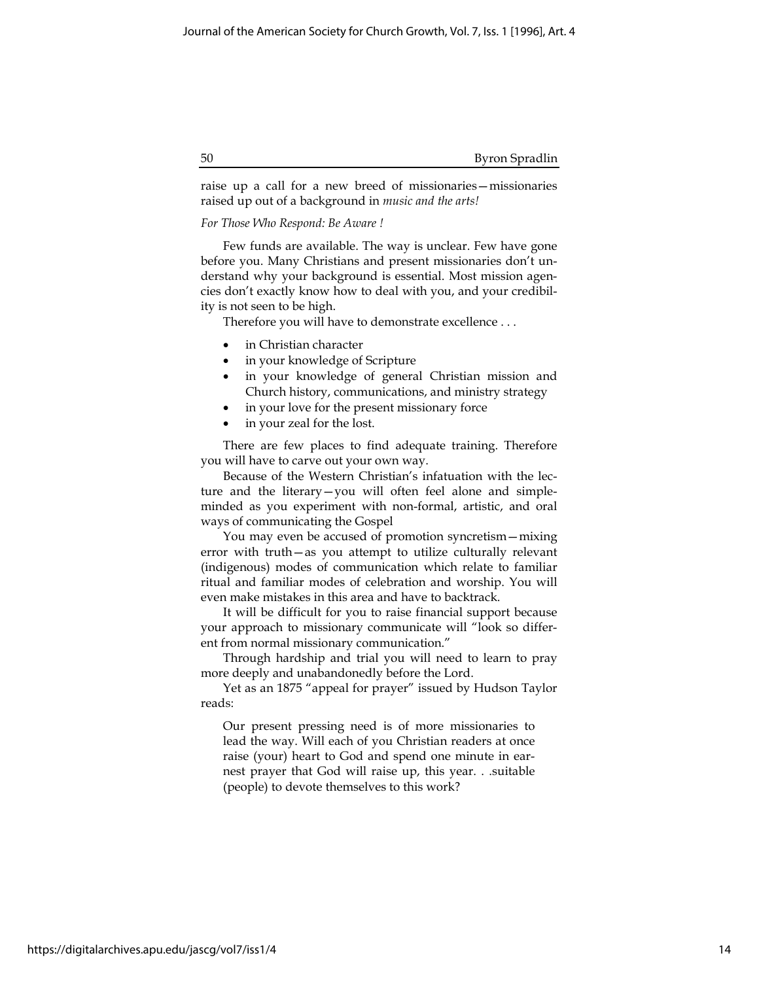raise up a call for a new breed of missionaries—missionaries raised up out of a background in music and the arts!

## For Those Who Respond: Be Aware !

Few funds are available. The way is unclear. Few have gone before you. Many Christians and present missionaries don't understand why your background is essential. Most mission agencies don't exactly know how to deal with you, and your credibility is not seen to be high.

Therefore you will have to demonstrate excellence . . .

- in Christian character
- in your knowledge of Scripture
- in your knowledge of general Christian mission and Church history, communications, and ministry strategy
- in your love for the present missionary force
- in your zeal for the lost.

There are few places to find adequate training. Therefore you will have to carve out your own way.

Because of the Western Christian's infatuation with the lecture and the literary—you will often feel alone and simpleminded as you experiment with non-formal, artistic, and oral ways of communicating the Gospel

You may even be accused of promotion syncretism—mixing error with truth—as you attempt to utilize culturally relevant (indigenous) modes of communication which relate to familiar ritual and familiar modes of celebration and worship. You will even make mistakes in this area and have to backtrack.

It will be difficult for you to raise financial support because your approach to missionary communicate will "look so different from normal missionary communication."

Through hardship and trial you will need to learn to pray more deeply and unabandonedly before the Lord.

Yet as an 1875 "appeal for prayer" issued by Hudson Taylor reads:

Our present pressing need is of more missionaries to lead the way. Will each of you Christian readers at once raise (your) heart to God and spend one minute in earnest prayer that God will raise up, this year. . .suitable (people) to devote themselves to this work?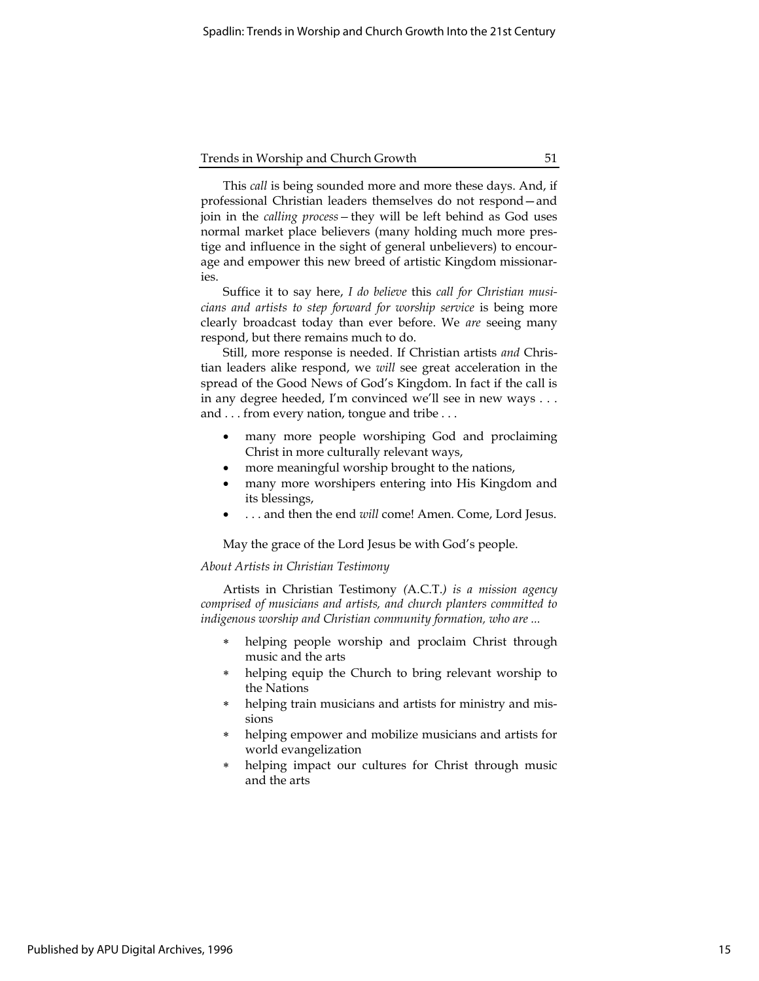This call is being sounded more and more these days. And, if professional Christian leaders themselves do not respond—and join in the *calling process* - they will be left behind as God uses normal market place believers (many holding much more prestige and influence in the sight of general unbelievers) to encourage and empower this new breed of artistic Kingdom missionaries.

Suffice it to say here, I do believe this call for Christian musicians and artists to step forward for worship service is being more clearly broadcast today than ever before. We are seeing many respond, but there remains much to do.

Still, more response is needed. If Christian artists and Christian leaders alike respond, we will see great acceleration in the spread of the Good News of God's Kingdom. In fact if the call is in any degree heeded, I'm convinced we'll see in new ways . . . and . . . from every nation, tongue and tribe . . .

- many more people worshiping God and proclaiming Christ in more culturally relevant ways,
- more meaningful worship brought to the nations,
- many more worshipers entering into His Kingdom and its blessings,
- . . . and then the end will come! Amen. Come, Lord Jesus.

May the grace of the Lord Jesus be with God's people.

## About Artists in Christian Testimony

Artists in Christian Testimony (A.C.T.) is a mission agency comprised of musicians and artists, and church planters committed to indigenous worship and Christian community formation, who are ...

- helping people worship and proclaim Christ through music and the arts
- helping equip the Church to bring relevant worship to the Nations
- helping train musicians and artists for ministry and missions
- helping empower and mobilize musicians and artists for world evangelization
- helping impact our cultures for Christ through music and the arts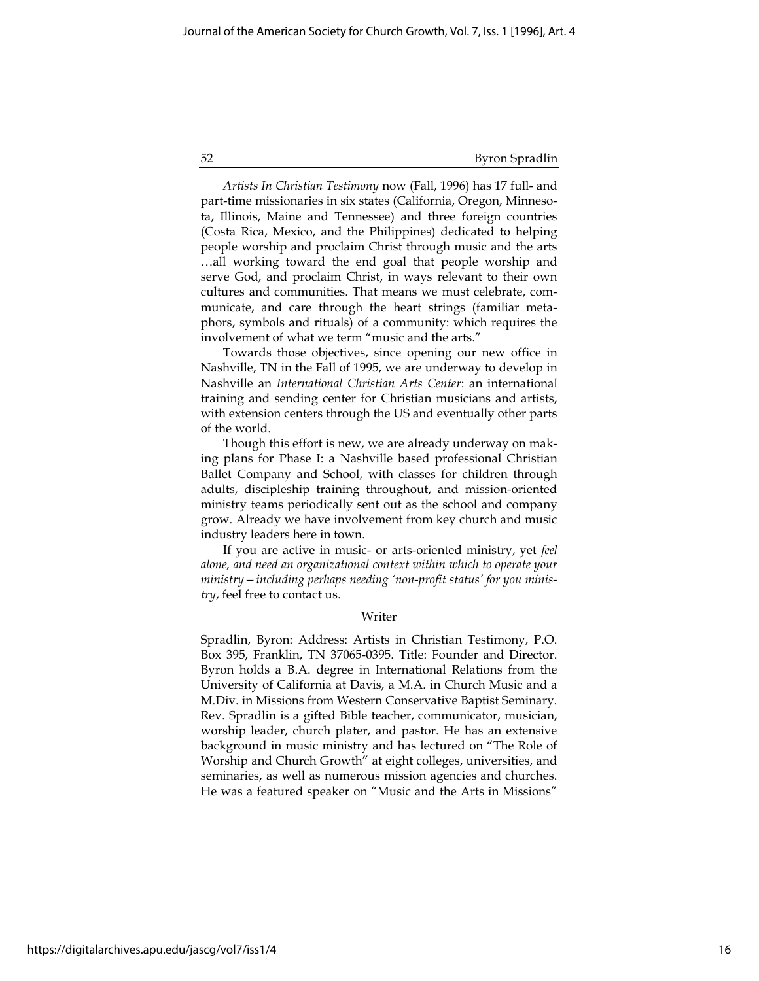Artists In Christian Testimony now (Fall, 1996) has 17 full- and part-time missionaries in six states (California, Oregon, Minnesota, Illinois, Maine and Tennessee) and three foreign countries (Costa Rica, Mexico, and the Philippines) dedicated to helping people worship and proclaim Christ through music and the arts …all working toward the end goal that people worship and serve God, and proclaim Christ, in ways relevant to their own cultures and communities. That means we must celebrate, communicate, and care through the heart strings (familiar metaphors, symbols and rituals) of a community: which requires the involvement of what we term "music and the arts."

Towards those objectives, since opening our new office in Nashville, TN in the Fall of 1995, we are underway to develop in Nashville an International Christian Arts Center: an international training and sending center for Christian musicians and artists, with extension centers through the US and eventually other parts of the world.

Though this effort is new, we are already underway on making plans for Phase I: a Nashville based professional Christian Ballet Company and School, with classes for children through adults, discipleship training throughout, and mission-oriented ministry teams periodically sent out as the school and company grow. Already we have involvement from key church and music industry leaders here in town.

If you are active in music- or arts-oriented ministry, yet feel alone, and need an organizational context within which to operate your ministry—including perhaps needing 'non-profit status' for you ministry, feel free to contact us.

### Writer

Spradlin, Byron: Address: Artists in Christian Testimony, P.O. Box 395, Franklin, TN 37065-0395. Title: Founder and Director. Byron holds a B.A. degree in International Relations from the University of California at Davis, a M.A. in Church Music and a M.Div. in Missions from Western Conservative Baptist Seminary. Rev. Spradlin is a gifted Bible teacher, communicator, musician, worship leader, church plater, and pastor. He has an extensive background in music ministry and has lectured on "The Role of Worship and Church Growth" at eight colleges, universities, and seminaries, as well as numerous mission agencies and churches. He was a featured speaker on "Music and the Arts in Missions"